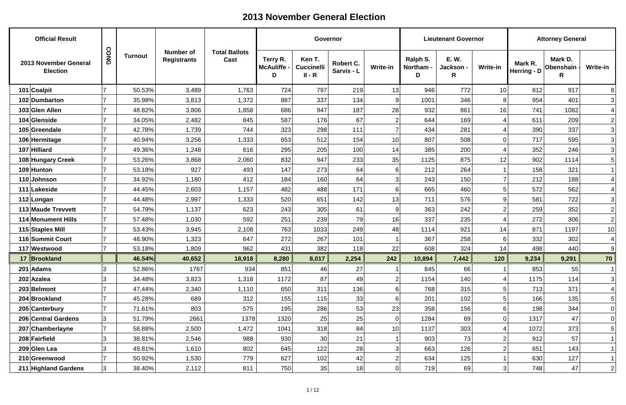| <b>Official Result</b>                   |             |                |                                        |                              |                                     | Governor                                |                         |                 |                            | <b>Lieutenant Governor</b>    |                 |                          | <b>Attorney General</b>     |                  |
|------------------------------------------|-------------|----------------|----------------------------------------|------------------------------|-------------------------------------|-----------------------------------------|-------------------------|-----------------|----------------------------|-------------------------------|-----------------|--------------------------|-----------------------------|------------------|
| 2013 November General<br><b>Election</b> | <b>CONG</b> | <b>Turnout</b> | <b>Number of</b><br><b>Registrants</b> | <b>Total Ballots</b><br>Cast | Terry R.<br><b>McAuliffe -</b><br>D | Ken T.<br><b>Cuccinelli</b><br>$II - R$ | Robert C.<br>Sarvis - L | <b>Write-in</b> | Ralph S.<br>Northam -<br>D | <b>E.W.</b><br>Jackson -<br>R | <b>Write-in</b> | Mark R.<br>Herring - $D$ | Mark D.<br>Obenshain -<br>R | <b>Write-in</b>  |
| 101 Coalpit                              |             | 50.53%         | 3,489                                  | 1,763                        | 724                                 | 797                                     | 219                     | 13              | 946                        | 772                           | 10              | 812                      | 917                         | 8 <sup>1</sup>   |
| 102 Dumbarton                            |             | 35.98%         | 3,813                                  | 1,372                        | 887                                 | 337                                     | 134                     | 9               | 1001                       | 346                           | 8               | 954                      | 401                         | 3                |
| 103 Glen Allen                           |             | 48.82%         | 3,806                                  | 1,858                        | 686                                 | 947                                     | 187                     | 28              | 932                        | 861                           | 16              | 741                      | 1082                        | $\vert 4 \vert$  |
| 104 Glenside                             |             | 34.05%         | 2,482                                  | 845                          | 587                                 | 176                                     | 67                      | $\overline{2}$  | 644                        | 169                           |                 | 611                      | 209                         | $\overline{2}$   |
| 105 Greendale                            |             | 42.78%         | 1,739                                  | 744                          | 323                                 | 298                                     | 111                     |                 | 434                        | 281                           |                 | 390                      | 337                         | 3                |
| 106 Hermitage                            |             | 40.94%         | 3,256                                  | 1,333                        | 653                                 | 512                                     | 154                     | 10              | 807                        | 508                           | 0               | 717                      | 595                         | $\overline{3}$   |
| 107 Hilliard                             |             | 49.36%         | 1,248                                  | 616                          | 295                                 | 205                                     | 100                     | 14              | 385                        | 200                           |                 | 352                      | 246                         | 3                |
| 108 Hungary Creek                        |             | 53.26%         | 3,868                                  | 2,060                        | 832                                 | 947                                     | 233                     | 35              | 1125                       | 875                           | 12              | 902                      | 1114                        | $5\vert$         |
| 109 Hunton                               |             | 53.18%         | 927                                    | 493                          | 147                                 | 273                                     | 64                      | 6               | 212                        | 264                           |                 | 158                      | 321                         |                  |
| 110 Johnson                              |             | 34.92%         | 1,180                                  | 412                          | 184                                 | 160                                     | 64                      | 3               | 243                        | 150                           | 7               | 212                      | 188                         |                  |
| 111 Lakeside                             |             | 44.45%         | 2,603                                  | 1,157                        | 482                                 | 488                                     | 171                     | 6               | 665                        | 460                           | 5               | 572                      | 562                         |                  |
| 112 Longan                               |             | 44.48%         | 2,997                                  | 1,333                        | 520                                 | 651                                     | 142                     | 13              | 711                        | 576                           | 9               | 581                      | 722                         | $\vert 3 \vert$  |
| 113 Maude Trevvett                       |             | 54.79%         | 1,137                                  | 623                          | 243                                 | 305                                     | 61                      | 9               | 363                        | 242                           | $\overline{2}$  | 259                      | 352                         | $\overline{2}$   |
| 114 Monument Hills                       |             | 57.48%         | 1,030                                  | 592                          | 251                                 | 239                                     | 79                      | 16              | 337                        | 235                           |                 | 272                      | 306                         | $\left 2\right $ |
| 115 Staples Mill                         |             | 53.43%         | 3,945                                  | 2,108                        | 763                                 | 1033                                    | 249                     | 48              | 1114                       | 921                           | 14              | 871                      | 1197                        | 10               |
| 116 Summit Court                         |             | 48.90%         | 1,323                                  | 647                          | 272                                 | 267                                     | 101                     |                 | 367                        | 258                           | 6               | 332                      | 302                         |                  |
| 117 Westwood                             |             | 53.18%         | 1,809                                  | 962                          | 431                                 | 382                                     | 118                     | 22              | 608                        | 324                           | 14              | 498                      | 440                         | 9                |
| 17 Brookland                             |             | 46.54%         | 40,652                                 | 18,918                       | 8,280                               | 8,017                                   | 2,254                   | 242             | 10,894                     | 7,442                         | <b>120</b>      | 9,234                    | 9,291                       | 70               |
| $201$ Adams                              |             | 52.86%         | 1767                                   | 934                          | 851                                 | 46                                      | 27                      |                 | 845                        | 66                            |                 | 853                      | 55                          |                  |
| $202$ Azalea                             |             | 34.48%         | 3,823                                  | 1,318                        | 1172                                | 87                                      | 49                      |                 | 1154                       | 140                           |                 | 1175                     | 114                         | 3                |
| 203 Belmont                              |             | 47.44%         | 2,340                                  | 1,110                        | 650                                 | 311                                     | 136                     | 6               | 768                        | 315                           | 5 <sup>1</sup>  | 713                      | 371                         | 4                |
| 204 Brookland                            |             | 45.28%         | 689                                    | 312                          | 155                                 | 115                                     | 33                      | 6               | 201                        | 102                           | 5               | 166                      | 135                         | 5                |
| 205 Canterbury                           |             | 71.61%         | 803                                    | 575                          | 195                                 | 286                                     | 53                      | 23              | 358                        | 156                           | 6               | 198                      | 344                         | 0                |
| 206 Central Gardens                      | 3           | 51.79%         | 2661                                   | 1378                         | 1320                                | 25                                      | 25                      | $\overline{0}$  | 1284                       | 69                            | 0               | 1317                     | 47                          | 0                |
| 207 Chamberlayne                         |             | 58.88%         | 2,500                                  | 1,472                        | 1041                                | 318                                     | 84                      | 10              | 1137                       | 303                           |                 | 1072                     | 373                         | 5 <sup>2</sup>   |
| 208 Fairfield                            | 3           | 38.81%         | 2,546                                  | 988                          | 930                                 | 30 <sup>°</sup>                         | 21                      |                 | 903                        | 73                            | 2               | 912                      | 57                          |                  |
| 209 Glen Lea                             |             | 49.81%         | 1,610                                  | 802                          | 645                                 | 122                                     | 28                      | 3               | 663                        | 126                           | $\overline{2}$  | 651                      | 143                         |                  |
| 210 Greenwood                            |             | 50.92%         | 1,530                                  | 779                          | 627                                 | 102                                     | 42                      | $\overline{2}$  | 634                        | 125                           |                 | 630                      | 127                         |                  |
| 211 Highland Gardens                     | 3           | 38.40%         | 2,112                                  | 811                          | 750                                 | 35                                      | 18                      | 0               | 719                        | 69                            | 3 <sup>1</sup>  | 748                      | 47                          | $\left 2\right $ |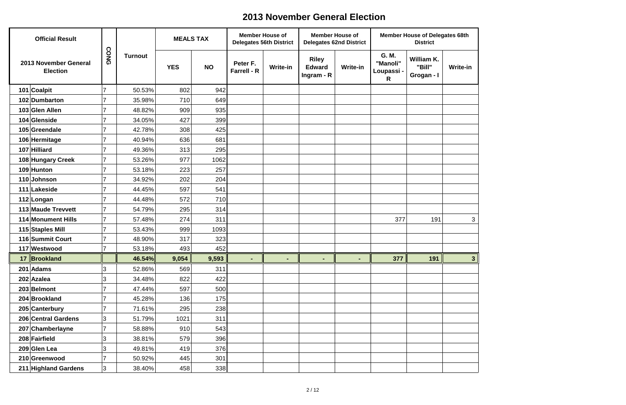| <b>Official Result</b>                   |      |                | <b>MEALS TAX</b> |           | <b>Member House of</b><br><b>Delegates 56th District</b> |                 | <b>Member House of</b>                        | <b>Delegates 62nd District</b> |                                      | <b>Member House of Delegates 68th</b><br><b>District</b> |                 |
|------------------------------------------|------|----------------|------------------|-----------|----------------------------------------------------------|-----------------|-----------------------------------------------|--------------------------------|--------------------------------------|----------------------------------------------------------|-----------------|
| 2013 November General<br><b>Election</b> | CONG | <b>Turnout</b> | <b>YES</b>       | <b>NO</b> | Peter F.<br><b>Farrell - R</b>                           | <b>Write-in</b> | <b>Riley</b><br><b>Edward</b><br>Ingram - $R$ | <b>Write-in</b>                | G. M.<br>"Manoli"<br>Loupassi -<br>R | William K.<br>"Bill"<br>Grogan - I                       | <b>Write-in</b> |
| 101 Coalpit                              | 7    | 50.53%         | 802              | 942       |                                                          |                 |                                               |                                |                                      |                                                          |                 |
| 102 Dumbarton                            |      | 35.98%         | 710              | 649       |                                                          |                 |                                               |                                |                                      |                                                          |                 |
| 103 Glen Allen                           | 7    | 48.82%         | 909              | 935       |                                                          |                 |                                               |                                |                                      |                                                          |                 |
| 104 Glenside                             |      | 34.05%         | 427              | 399       |                                                          |                 |                                               |                                |                                      |                                                          |                 |
| 105 Greendale                            | 7    | 42.78%         | 308              | 425       |                                                          |                 |                                               |                                |                                      |                                                          |                 |
| 106 Hermitage                            | 7    | 40.94%         | 636              | 681       |                                                          |                 |                                               |                                |                                      |                                                          |                 |
| 107 Hilliard                             | 7    | 49.36%         | 313              | 295       |                                                          |                 |                                               |                                |                                      |                                                          |                 |
| 108 Hungary Creek                        | 7    | 53.26%         | 977              | 1062      |                                                          |                 |                                               |                                |                                      |                                                          |                 |
| 109 Hunton                               | 7    | 53.18%         | 223              | 257       |                                                          |                 |                                               |                                |                                      |                                                          |                 |
| 110 Johnson                              | 7    | 34.92%         | 202              | 204       |                                                          |                 |                                               |                                |                                      |                                                          |                 |
| 111 Lakeside                             | 7    | 44.45%         | 597              | 541       |                                                          |                 |                                               |                                |                                      |                                                          |                 |
| 112 Longan                               | 7    | 44.48%         | 572              | 710       |                                                          |                 |                                               |                                |                                      |                                                          |                 |
| 113 Maude Trevvett                       | 7    | 54.79%         | 295              | 314       |                                                          |                 |                                               |                                |                                      |                                                          |                 |
| 114 Monument Hills                       | 7    | 57.48%         | 274              | 311       |                                                          |                 |                                               |                                | 377                                  | 191                                                      | 3               |
| 115 Staples Mill                         |      | 53.43%         | 999              | 1093      |                                                          |                 |                                               |                                |                                      |                                                          |                 |
| 116 Summit Court                         | 7    | 48.90%         | 317              | 323       |                                                          |                 |                                               |                                |                                      |                                                          |                 |
| 117 Westwood                             |      | 53.18%         | 493              | 452       |                                                          |                 |                                               |                                |                                      |                                                          |                 |
| 17 Brookland                             |      | 46.54%         | 9,054            | 9,593     |                                                          |                 |                                               |                                | 377                                  | 191                                                      | ಎ               |
| 201 Adams                                | 3    | 52.86%         | 569              | 311       |                                                          |                 |                                               |                                |                                      |                                                          |                 |
| 202 Azalea                               | 3    | 34.48%         | 822              | 422       |                                                          |                 |                                               |                                |                                      |                                                          |                 |
| 203 Belmont                              |      | 47.44%         | 597              | 500       |                                                          |                 |                                               |                                |                                      |                                                          |                 |
| 204 Brookland                            |      | 45.28%         | 136              | 175       |                                                          |                 |                                               |                                |                                      |                                                          |                 |
| 205 Canterbury                           | 7    | 71.61%         | 295              | 238       |                                                          |                 |                                               |                                |                                      |                                                          |                 |
| 206 Central Gardens                      | 3    | 51.79%         | 1021             | 311       |                                                          |                 |                                               |                                |                                      |                                                          |                 |
| 207 Chamberlayne                         | 7    | 58.88%         | 910              | 543       |                                                          |                 |                                               |                                |                                      |                                                          |                 |
| 208 Fairfield                            | 3    | 38.81%         | 579              | 396       |                                                          |                 |                                               |                                |                                      |                                                          |                 |
| 209 Glen Lea                             | 3    | 49.81%         | 419              | 376       |                                                          |                 |                                               |                                |                                      |                                                          |                 |
| 210 Greenwood                            | 7    | 50.92%         | 445              | 301       |                                                          |                 |                                               |                                |                                      |                                                          |                 |
| 211 Highland Gardens                     | 3    | 38.40%         | 458              | 338       |                                                          |                 |                                               |                                |                                      |                                                          |                 |

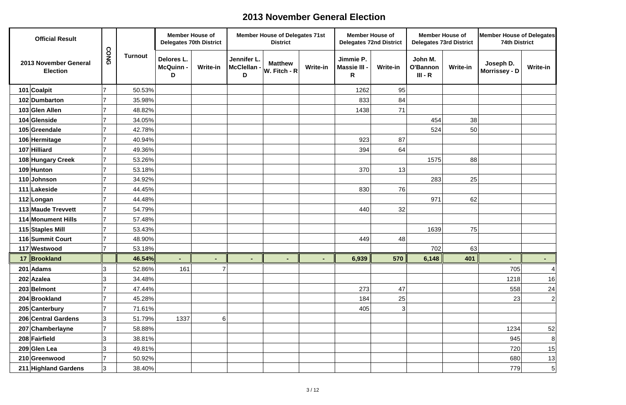| <b>Official Result</b>                   |                          |                | <b>Member House of</b>       | <b>Delegates 70th District</b> |                                 | <b>Member House of Delegates 71st</b><br><b>District</b> |                 | <b>Member House of</b><br><b>Delegates 72nd District</b> |                   | <b>Member House of</b>           | <b>Delegates 73rd District</b> | <b>Member House of Delegates</b><br><b>74th District</b> |                  |
|------------------------------------------|--------------------------|----------------|------------------------------|--------------------------------|---------------------------------|----------------------------------------------------------|-----------------|----------------------------------------------------------|-------------------|----------------------------------|--------------------------------|----------------------------------------------------------|------------------|
| 2013 November General<br><b>Election</b> | CONG                     | <b>Turnout</b> | Delores L.<br>McQuinn -<br>D | Write-in                       | Jennifer L.<br>McClellan -<br>D | <b>Matthew</b><br>$W.$ Fitch - R                         | <b>Write-in</b> | Jimmie P.<br>Massie III -<br>R                           | <b>Write-in</b>   | John M.<br>O'Bannon<br>$III - R$ | <b>Write-in</b>                | Joseph D.<br><b>Morrissey - D</b>                        | <b>Write-in</b>  |
| 101 Coalpit                              |                          | 50.53%         |                              |                                |                                 |                                                          |                 | 1262                                                     | 95                |                                  |                                |                                                          |                  |
| 102 Dumbarton                            |                          | 35.98%         |                              |                                |                                 |                                                          |                 | 833                                                      | 84                |                                  |                                |                                                          |                  |
| 103 Glen Allen                           |                          | 48.82%         |                              |                                |                                 |                                                          |                 | 1438                                                     | 71                |                                  |                                |                                                          |                  |
| 104 Glenside                             |                          | 34.05%         |                              |                                |                                 |                                                          |                 |                                                          |                   | 454                              | 38                             |                                                          |                  |
| 105 Greendale                            |                          | 42.78%         |                              |                                |                                 |                                                          |                 |                                                          |                   | 524                              | 50                             |                                                          |                  |
| 106 Hermitage                            |                          | 40.94%         |                              |                                |                                 |                                                          |                 | 923                                                      | 87                |                                  |                                |                                                          |                  |
| 107 Hilliard                             |                          | 49.36%         |                              |                                |                                 |                                                          |                 | 394                                                      | 64                |                                  |                                |                                                          |                  |
| 108 Hungary Creek                        |                          | 53.26%         |                              |                                |                                 |                                                          |                 |                                                          |                   | 1575                             | 88                             |                                                          |                  |
| 109 Hunton                               |                          | 53.18%         |                              |                                |                                 |                                                          |                 | 370                                                      | 13                |                                  |                                |                                                          |                  |
| 110 Johnson                              |                          | 34.92%         |                              |                                |                                 |                                                          |                 |                                                          |                   | 283                              | 25                             |                                                          |                  |
| 111 Lakeside                             |                          | 44.45%         |                              |                                |                                 |                                                          |                 | 830                                                      | 76                |                                  |                                |                                                          |                  |
| 112 Longan                               |                          | 44.48%         |                              |                                |                                 |                                                          |                 |                                                          |                   | 971                              | 62                             |                                                          |                  |
| 113 Maude Trevvett                       |                          | 54.79%         |                              |                                |                                 |                                                          |                 | 440                                                      | 32                |                                  |                                |                                                          |                  |
| 114 Monument Hills                       | $\overline{\phantom{a}}$ | 57.48%         |                              |                                |                                 |                                                          |                 |                                                          |                   |                                  |                                |                                                          |                  |
| 115 Staples Mill                         |                          | 53.43%         |                              |                                |                                 |                                                          |                 |                                                          |                   | 1639                             | 75                             |                                                          |                  |
| 116 Summit Court                         |                          | 48.90%         |                              |                                |                                 |                                                          |                 | 449                                                      | 48                |                                  |                                |                                                          |                  |
| 117 Westwood                             |                          | 53.18%         |                              |                                |                                 |                                                          |                 |                                                          |                   | 702                              | 63                             |                                                          |                  |
| 17 Brookland                             |                          | 46.54%         | $\blacksquare$               | $\blacksquare$                 |                                 | $\blacksquare$                                           |                 | 6,939                                                    | $570$ $\parallel$ | 6,148                            | 401                            | $\blacksquare$                                           | $\sim$ 10 $\pm$  |
| $201$ Adams                              | 3                        | 52.86%         | 161                          |                                |                                 |                                                          |                 |                                                          |                   |                                  |                                | 705                                                      | 4                |
| $202$ Azalea                             | 3                        | 34.48%         |                              |                                |                                 |                                                          |                 |                                                          |                   |                                  |                                | 1218                                                     | 16               |
| 203 Belmont                              |                          | 47.44%         |                              |                                |                                 |                                                          |                 | 273                                                      | 47                |                                  |                                | 558                                                      | 24               |
| 204 Brookland                            |                          | 45.28%         |                              |                                |                                 |                                                          |                 | 184                                                      | 25                |                                  |                                | 23                                                       | $\overline{2}$   |
| 205 Canterbury                           |                          | 71.61%         |                              |                                |                                 |                                                          |                 | 405                                                      | 3                 |                                  |                                |                                                          |                  |
| 206 Central Gardens                      | 3                        | 51.79%         | 1337                         | $6 \mid$                       |                                 |                                                          |                 |                                                          |                   |                                  |                                |                                                          |                  |
| 207 Chamberlayne                         |                          | 58.88%         |                              |                                |                                 |                                                          |                 |                                                          |                   |                                  |                                | 1234                                                     | 52               |
| 208 Fairfield                            | 3                        | 38.81%         |                              |                                |                                 |                                                          |                 |                                                          |                   |                                  |                                | 945                                                      | $\boldsymbol{8}$ |
| 209 Glen Lea                             | 3                        | 49.81%         |                              |                                |                                 |                                                          |                 |                                                          |                   |                                  |                                | 720                                                      | 15               |
| 210 Greenwood                            |                          | 50.92%         |                              |                                |                                 |                                                          |                 |                                                          |                   |                                  |                                | 680                                                      | 13               |
| 211 Highland Gardens                     | 3                        | 38.40%         |                              |                                |                                 |                                                          |                 |                                                          |                   |                                  |                                | 779                                                      | 5                |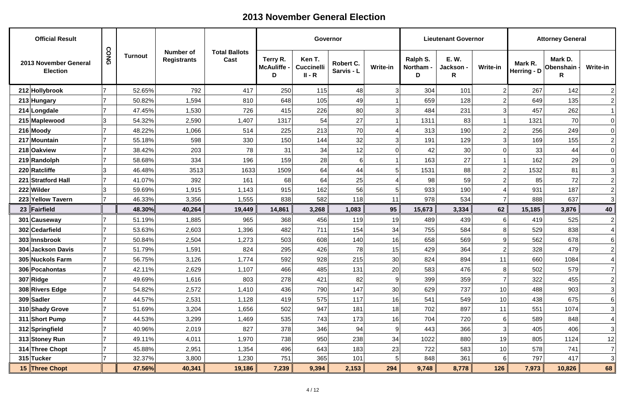| <b>Official Result</b>                   |      |                |                                        |                              |                                     | Governor                                |                         |                 |                            | <b>Lieutenant Governor</b>    |                 |                          | <b>Attorney General</b>     |                  |
|------------------------------------------|------|----------------|----------------------------------------|------------------------------|-------------------------------------|-----------------------------------------|-------------------------|-----------------|----------------------------|-------------------------------|-----------------|--------------------------|-----------------------------|------------------|
| 2013 November General<br><b>Election</b> | CONG | <b>Turnout</b> | <b>Number of</b><br><b>Registrants</b> | <b>Total Ballots</b><br>Cast | Terry R.<br><b>McAuliffe -</b><br>D | Ken T.<br><b>Cuccinelli</b><br>$II - R$ | Robert C.<br>Sarvis - L | <b>Write-in</b> | Ralph S.<br>Northam -<br>D | <b>E.W.</b><br>Jackson -<br>R | <b>Write-in</b> | Mark R.<br>Herring - $D$ | Mark D.<br>Obenshain -<br>R | <b>Write-in</b>  |
| 212 Hollybrook                           |      | 52.65%         | 792                                    | 417                          | 250                                 | 115                                     | 48                      | 3               | 304                        | 101                           | $\overline{2}$  | 267                      | 142                         | $\left 2\right $ |
| 213 Hungary                              |      | 50.82%         | 1,594                                  | 810                          | 648                                 | 105                                     | 49                      |                 | 659                        | 128                           | $\overline{2}$  | 649                      | 135                         | $\left 2\right $ |
| 214 Longdale                             |      | 47.45%         | 1,530                                  | 726                          | 415                                 | 226                                     | 80 <sup>°</sup>         | 3               | 484                        | 231                           | 3               | 457                      | 262                         |                  |
| 215 Maplewood                            | 3    | 54.32%         | 2,590                                  | 1,407                        | 1317                                | 54                                      | 27                      |                 | 1311                       | 83                            |                 | 1321                     | 70                          | 0                |
| $216$ Moody                              |      | 48.22%         | 1,066                                  | 514                          | 225                                 | 213                                     | 70                      |                 | 313                        | 190                           | $\overline{2}$  | 256                      | 249                         | 0                |
| 217 Mountain                             |      | 55.18%         | 598                                    | 330                          | 150                                 | 144                                     | 32                      | 3               | 191                        | 129                           | 3               | 169                      | 155                         | $\overline{2}$   |
| 218 Oakview                              |      | 38.42%         | 203                                    | 78                           | 31                                  | 34                                      | 12                      |                 | 42                         | 30                            | 0               | 33                       | 44                          | 0                |
| 219 Randolph                             |      | 58.68%         | 334                                    | 196                          | 159                                 | 28                                      | $6 \mid$                |                 | 163                        | 27                            |                 | 162                      | 29                          | 0                |
| 220 Ratcliffe                            |      | 46.48%         | 3513                                   | 1633                         | 1509                                | 64                                      | 44                      |                 | 1531                       | 88                            | $\overline{2}$  | 1532                     | 81                          | 3                |
| 221 Stratford Hall                       |      | 41.07%         | 392                                    | 161                          | 68                                  | 64                                      | 25                      |                 | 98                         | 59                            | $\overline{2}$  | 85                       | 72                          | $\vert 2 \vert$  |
| 222 Wilder                               |      | 59.69%         | 1,915                                  | 1,143                        | 915                                 | 162                                     | 56                      |                 | 933                        | 190                           |                 | 931                      | 187                         | $\left 2\right $ |
| 223 Yellow Tavern                        |      | 46.33%         | 3,356                                  | 1,555                        | 838                                 | 582                                     | 118                     | 11              | 978                        | 534                           |                 | 888                      | 637                         | 3                |
| 23 $\vert$ Fairfield                     |      | 48.30%         | 40,264                                 | 19,449                       | 14,861                              | 3,268                                   | 1,083                   | 95              | 15,673                     | 3,334                         | 62              | 15,185                   | 3,876                       | 40               |
| 301 Causeway                             |      | 51.19%         | 1,885                                  | 965                          | 368                                 | 456                                     | 119                     | 19              | 489                        | 439                           | 6               | 419                      | 525                         | $\overline{2}$   |
| 302 Cedarfield                           |      | 53.63%         | 2,603                                  | 1,396                        | 482                                 | 711                                     | 154                     | 34              | 755                        | 584                           | 8               | 529                      | 838                         | 4                |
| 303 Innsbrook                            |      | 50.84%         | 2,504                                  | 1,273                        | 503                                 | 608                                     | 140                     | 16              | 658                        | 569                           | 9               | 562                      | 678                         | $6 \mid$         |
| 304 Jackson Davis                        |      | 51.79%         | 1,591                                  | 824                          | 295                                 | 426                                     | 78                      | 15              | 429                        | 364                           |                 | 328                      | 479                         | 2                |
| 305 Nuckols Farm                         |      | 56.75%         | 3,126                                  | 1,774                        | 592                                 | 928                                     | 215                     | 30              | 824                        | 894                           | 11              | 660                      | 1084                        | 4                |
| 306 Pocahontas                           |      | 42.11%         | 2,629                                  | 1,107                        | 466                                 | 485                                     | 131                     | 20              | 583                        | 476                           | 8               | 502                      | 579                         | $7\vert$         |
| $307$ Ridge                              |      | 49.69%         | 1,616                                  | 803                          | 278                                 | 421                                     | 82                      | 9               | 399                        | 359                           |                 | 322                      | 455                         | $\overline{2}$   |
| 308 Rivers Edge                          |      | 54.82%         | 2,572                                  | 1,410                        | 436                                 | 790                                     | 147                     | 30              | 629                        | 737                           | 10              | 488                      | 903                         | 3                |
| 309 Sadler                               |      | 44.57%         | 2,531                                  | 1,128                        | 419                                 | 575                                     | 117                     | 16              | 541                        | 549                           | 10              | 438                      | 675                         | $6 \mid$         |
| 310 Shady Grove                          |      | 51.69%         | 3,204                                  | 1,656                        | 502                                 | 947                                     | 181                     | 18              | 702                        | 897                           | 11              | 551                      | 1074                        | 3                |
| 311 Short Pump                           |      | 44.53%         | 3,299                                  | 1,469                        | 535                                 | 743                                     | 173                     | 16              | 704                        | 720                           | $6 \mid$        | 589                      | 848                         | 4                |
| 312 Springfield                          |      | 40.96%         | 2,019                                  | 827                          | 378                                 | 346                                     | 94                      | 9               | 443                        | 366                           | 3               | 405                      | 406                         | 3                |
| 313 Stoney Run                           |      | 49.11%         | 4,011                                  | 1,970                        | 738                                 | 950                                     | 238                     | 34              | 1022                       | 880                           | 19              | 805                      | 1124                        | 12               |
| 314 Three Chopt                          |      | 45.88%         | 2,951                                  | 1,354                        | 496                                 | 643                                     | 183                     | 23              | 722                        | 583                           | 10              | 578                      | 741                         | $7\vert$         |
| 315 Tucker                               |      | 32.37%         | 3,800                                  | 1,230                        | 751                                 | 365                                     | 101                     | 5               | 848                        | 361                           | $6 \mid$        | 797                      | 417                         | 3                |
| 15 Three Chopt                           |      | 47.56%         | 40,341                                 | 19,186                       | 7,239                               | 9,394                                   | 2,153                   | 294             | 9,748                      | 8,778                         | 126             | 7,973                    | 10,826                      | 68               |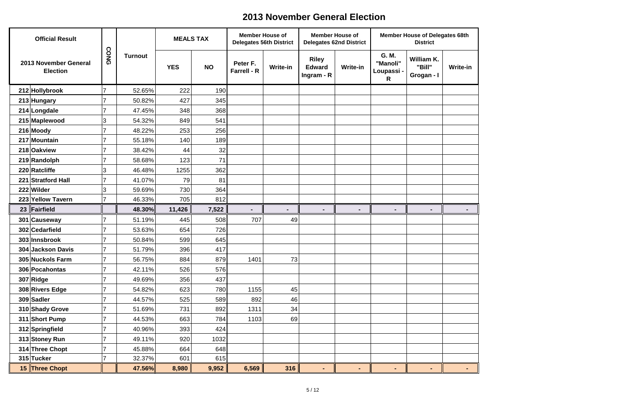| <b>Official Result</b>                   |      |                | <b>MEALS TAX</b> |           | <b>Member House of</b><br><b>Delegates 56th District</b> |                 |                                               | <b>Member House of</b><br><b>Delegates 62nd District</b> |                                      | <b>Member House of Delegates 68th</b><br><b>District</b> |         |
|------------------------------------------|------|----------------|------------------|-----------|----------------------------------------------------------|-----------------|-----------------------------------------------|----------------------------------------------------------|--------------------------------------|----------------------------------------------------------|---------|
| 2013 November General<br><b>Election</b> | CONG | <b>Turnout</b> | <b>YES</b>       | <b>NO</b> | Peter F.<br><b>Farrell - R</b>                           | <b>Write-in</b> | <b>Riley</b><br><b>Edward</b><br>Ingram - $R$ | <b>Write-in</b>                                          | G. M.<br>"Manoli"<br>Loupassi -<br>R | William K.<br>"Bill"<br>Grogan - I                       | Write-i |
| 212 Hollybrook                           |      | 52.65%         | 222              | 190       |                                                          |                 |                                               |                                                          |                                      |                                                          |         |
| 213 Hungary                              |      | 50.82%         | 427              | 345       |                                                          |                 |                                               |                                                          |                                      |                                                          |         |
| 214 Longdale                             |      | 47.45%         | 348              | 368       |                                                          |                 |                                               |                                                          |                                      |                                                          |         |
| 215 Maplewood                            | 3    | 54.32%         | 849              | 541       |                                                          |                 |                                               |                                                          |                                      |                                                          |         |
| 216 Moody                                |      | 48.22%         | 253              | 256       |                                                          |                 |                                               |                                                          |                                      |                                                          |         |
| 217 Mountain                             |      | 55.18%         | 140              | 189       |                                                          |                 |                                               |                                                          |                                      |                                                          |         |
| 218 Oakview                              |      | 38.42%         | 44               | 32        |                                                          |                 |                                               |                                                          |                                      |                                                          |         |
| 219 Randolph                             |      | 58.68%         | 123              | 71        |                                                          |                 |                                               |                                                          |                                      |                                                          |         |
| 220 Ratcliffe                            | 3    | 46.48%         | 1255             | 362       |                                                          |                 |                                               |                                                          |                                      |                                                          |         |
| 221 Stratford Hall                       |      | 41.07%         | 79               | 81        |                                                          |                 |                                               |                                                          |                                      |                                                          |         |
| 222 Wilder                               | 3    | 59.69%         | 730              | 364       |                                                          |                 |                                               |                                                          |                                      |                                                          |         |
| 223 Yellow Tavern                        |      | 46.33%         | 705              | 812       |                                                          |                 |                                               |                                                          |                                      |                                                          |         |
| 23 Fairfield                             |      | 48.30%         | 11,426           | 7,522     |                                                          |                 |                                               |                                                          | -                                    |                                                          |         |
| 301 Causeway                             |      | 51.19%         | 445              | 508       | 707                                                      | 49              |                                               |                                                          |                                      |                                                          |         |
| 302 Cedarfield                           |      | 53.63%         | 654              | 726       |                                                          |                 |                                               |                                                          |                                      |                                                          |         |
| 303 Innsbrook                            |      | 50.84%         | 599              | 645       |                                                          |                 |                                               |                                                          |                                      |                                                          |         |
| 304 Jackson Davis                        |      | 51.79%         | 396              | 417       |                                                          |                 |                                               |                                                          |                                      |                                                          |         |
| 305 Nuckols Farm                         |      | 56.75%         | 884              | 879       | 1401                                                     | 73              |                                               |                                                          |                                      |                                                          |         |
| 306 Pocahontas                           |      | 42.11%         | 526              | 576       |                                                          |                 |                                               |                                                          |                                      |                                                          |         |
| 307 Ridge                                |      | 49.69%         | 356              | 437       |                                                          |                 |                                               |                                                          |                                      |                                                          |         |
| 308 Rivers Edge                          |      | 54.82%         | 623              | 780       | 1155                                                     | 45              |                                               |                                                          |                                      |                                                          |         |
| 309 Sadler                               | 7    | 44.57%         | 525              | 589       | 892                                                      | 46              |                                               |                                                          |                                      |                                                          |         |
| 310 Shady Grove                          |      | 51.69%         | 731              | 892       | 1311                                                     | 34              |                                               |                                                          |                                      |                                                          |         |
| 311 Short Pump                           | 7    | 44.53%         | 663              | 784       | 1103                                                     | 69              |                                               |                                                          |                                      |                                                          |         |
| 312 Springfield                          |      | 40.96%         | 393              | 424       |                                                          |                 |                                               |                                                          |                                      |                                                          |         |
| 313 Stoney Run                           | 7    | 49.11%         | 920              | 1032      |                                                          |                 |                                               |                                                          |                                      |                                                          |         |
| 314 Three Chopt                          |      | 45.88%         | 664              | 648       |                                                          |                 |                                               |                                                          |                                      |                                                          |         |
| 315 Tucker                               |      | 32.37%         | 601              | 615       |                                                          |                 |                                               |                                                          |                                      |                                                          |         |
| 15 Three Chopt                           |      | 47.56%         | 8,980            | 9,952     | 6,569                                                    | 316             | $\blacksquare$                                | $\blacksquare$                                           | ۰.                                   | $\sim$                                                   |         |

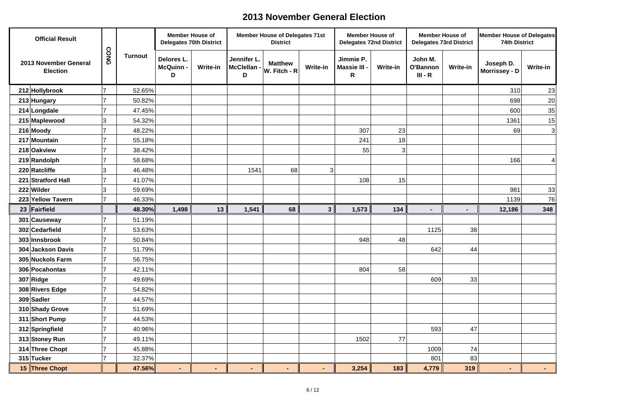| <b>Official Result</b>                   | $\Omega$   |                |                                    | <b>Member House of</b><br><b>Delegates 70th District</b> |                                 | <b>Member House of Delegates 71st</b><br><b>District</b> |                 | <b>Member House of</b><br><b>Delegates 72nd District</b> |                 |                                  | <b>Member House of</b><br><b>Delegates 73rd District</b> | Member House of Delegates<br><b>74th District</b> |                 |
|------------------------------------------|------------|----------------|------------------------------------|----------------------------------------------------------|---------------------------------|----------------------------------------------------------|-----------------|----------------------------------------------------------|-----------------|----------------------------------|----------------------------------------------------------|---------------------------------------------------|-----------------|
| 2013 November General<br><b>Election</b> | <b>ONG</b> | <b>Turnout</b> | Delores L.<br><b>McQuinn-</b><br>D | Write-in                                                 | Jennifer L.<br>McClellan -<br>D | <b>Matthew</b><br>$ W.$ Fitch - R $ $                    | <b>Write-in</b> | Jimmie P.<br>Massie III -<br>R                           | <b>Write-in</b> | John M.<br>O'Bannon<br>$III - R$ | <b>Write-in</b>                                          | Joseph D.<br>Morrissey - D                        | <b>Write-in</b> |
| 212 Hollybrook                           |            | 52.65%         |                                    |                                                          |                                 |                                                          |                 |                                                          |                 |                                  |                                                          | 310                                               | 23              |
| 213 Hungary                              |            | 50.82%         |                                    |                                                          |                                 |                                                          |                 |                                                          |                 |                                  |                                                          | 698                                               | 20              |
| 214 Longdale                             |            | 47.45%         |                                    |                                                          |                                 |                                                          |                 |                                                          |                 |                                  |                                                          | 600                                               | 35              |
| 215 Maplewood                            | 3          | 54.32%         |                                    |                                                          |                                 |                                                          |                 |                                                          |                 |                                  |                                                          | 1361                                              | 15              |
| 216 Moody                                |            | 48.22%         |                                    |                                                          |                                 |                                                          |                 | 307                                                      | 23              |                                  |                                                          | 69                                                | 3               |
| 217 Mountain                             |            | 55.18%         |                                    |                                                          |                                 |                                                          |                 | 241                                                      | 18              |                                  |                                                          |                                                   |                 |
| 218 Oakview                              |            | 38.42%         |                                    |                                                          |                                 |                                                          |                 | 55                                                       | $\mathbf{3}$    |                                  |                                                          |                                                   |                 |
| 219 Randolph                             |            | 58.68%         |                                    |                                                          |                                 |                                                          |                 |                                                          |                 |                                  |                                                          | 166                                               |                 |
| 220 Ratcliffe                            | 3          | 46.48%         |                                    |                                                          | 1541                            | 68                                                       | $\overline{3}$  |                                                          |                 |                                  |                                                          |                                                   |                 |
| 221 Stratford Hall                       |            | 41.07%         |                                    |                                                          |                                 |                                                          |                 | 108                                                      | 15              |                                  |                                                          |                                                   |                 |
| 222 Wilder                               | 3          | 59.69%         |                                    |                                                          |                                 |                                                          |                 |                                                          |                 |                                  |                                                          | 981                                               | 33              |
| 223 Yellow Tavern                        |            | 46.33%         |                                    |                                                          |                                 |                                                          |                 |                                                          |                 |                                  |                                                          | 1139                                              | 76              |
| 23 $\vert$ Fairfield                     |            | 48.30%         | 1,498                              | 13                                                       | 1,541                           | 68                                                       | 3 <sup>1</sup>  | 1,573                                                    | 134             | $\blacksquare$                   |                                                          | 12,186                                            | 348             |
| 301 Causeway                             |            | 51.19%         |                                    |                                                          |                                 |                                                          |                 |                                                          |                 |                                  |                                                          |                                                   |                 |
| 302 Cedarfield                           |            | 53.63%         |                                    |                                                          |                                 |                                                          |                 |                                                          |                 | 1125                             | 38                                                       |                                                   |                 |
| 303 Innsbrook                            |            | 50.84%         |                                    |                                                          |                                 |                                                          |                 | 948                                                      | 48              |                                  |                                                          |                                                   |                 |
| 304 Jackson Davis                        |            | 51.79%         |                                    |                                                          |                                 |                                                          |                 |                                                          |                 | 642                              | 44                                                       |                                                   |                 |
| 305 Nuckols Farm                         | 17         | 56.75%         |                                    |                                                          |                                 |                                                          |                 |                                                          |                 |                                  |                                                          |                                                   |                 |
| 306 Pocahontas                           |            | 42.11%         |                                    |                                                          |                                 |                                                          |                 | 804                                                      | 58              |                                  |                                                          |                                                   |                 |
| 307 Ridge                                |            | 49.69%         |                                    |                                                          |                                 |                                                          |                 |                                                          |                 | 609                              | 33                                                       |                                                   |                 |
| 308 Rivers Edge                          |            | 54.82%         |                                    |                                                          |                                 |                                                          |                 |                                                          |                 |                                  |                                                          |                                                   |                 |
| 309 Sadler                               |            | 44.57%         |                                    |                                                          |                                 |                                                          |                 |                                                          |                 |                                  |                                                          |                                                   |                 |
| 310 Shady Grove                          |            | 51.69%         |                                    |                                                          |                                 |                                                          |                 |                                                          |                 |                                  |                                                          |                                                   |                 |
| 311 Short Pump                           |            | 44.53%         |                                    |                                                          |                                 |                                                          |                 |                                                          |                 |                                  |                                                          |                                                   |                 |
| 312 Springfield                          |            | 40.96%         |                                    |                                                          |                                 |                                                          |                 |                                                          |                 | 593                              | 47                                                       |                                                   |                 |
| 313 Stoney Run                           |            | 49.11%         |                                    |                                                          |                                 |                                                          |                 | 1502                                                     | 77              |                                  |                                                          |                                                   |                 |
| 314 Three Chopt                          |            | 45.88%         |                                    |                                                          |                                 |                                                          |                 |                                                          |                 | 1009                             | 74                                                       |                                                   |                 |
| 315 Tucker                               |            | 32.37%         |                                    |                                                          |                                 |                                                          |                 |                                                          |                 | 801                              | 83                                                       |                                                   |                 |
| 15 Three Chopt                           |            | 47.56%         | $\blacksquare$                     | $\blacksquare$                                           | $\blacksquare$                  | $\sim$                                                   | $\sim$          | 3,254                                                    | 183             | 4,779                            | 319                                                      | $\blacksquare$                                    | $\sim 100$      |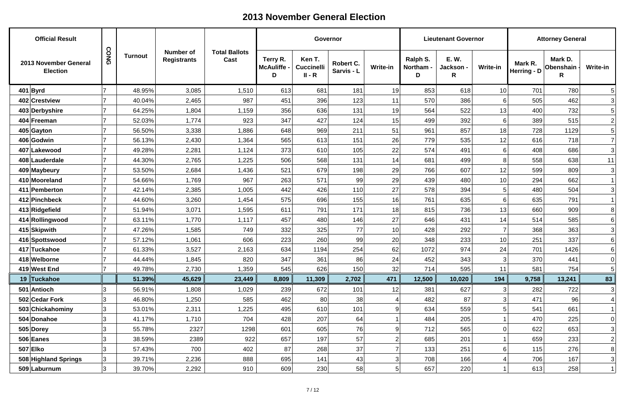| <b>Official Result</b>                   |      |                |                                        |                              |                                   | Governor                                |                         |                 |                            | <b>Lieutenant Governor</b>    |                 |                          | <b>Attorney General</b>     |                 |
|------------------------------------------|------|----------------|----------------------------------------|------------------------------|-----------------------------------|-----------------------------------------|-------------------------|-----------------|----------------------------|-------------------------------|-----------------|--------------------------|-----------------------------|-----------------|
| 2013 November General<br><b>Election</b> | CONG | <b>Turnout</b> | <b>Number of</b><br><b>Registrants</b> | <b>Total Ballots</b><br>Cast | Terry R.<br><b>McAuliffe</b><br>D | Ken T.<br><b>Cuccinelli</b><br>$II - R$ | Robert C.<br>Sarvis - L | <b>Write-in</b> | Ralph S.<br>Northam -<br>D | <b>E.W.</b><br>Jackson -<br>R | <b>Write-in</b> | Mark R.<br>Herring - $D$ | Mark D.<br>Obenshain ·<br>R | <b>Write-in</b> |
| $401$ Byrd                               |      | 48.95%         | 3,085                                  | 1,510                        | 613                               | 681                                     | 181                     | 19              | 853                        | 618                           | 10              | 701                      | 780                         | 5               |
| 402 Crestview                            |      | 40.04%         | 2,465                                  | 987                          | 451                               | 396                                     | 123                     | 11              | 570                        | 386                           | 6               | 505                      | 462                         | $\overline{3}$  |
| 403 Derbyshire                           |      | 64.25%         | 1,804                                  | 1,159                        | 356                               | 636                                     | 131                     | 19              | 564                        | 522                           | 13              | 400                      | 732                         | $5\vert$        |
| 404 Freeman                              |      | 52.03%         | 1,774                                  | 923                          | 347                               | 427                                     | 124                     | 15              | 499                        | 392                           | 6 <sup>1</sup>  | 389                      | 515                         | $\overline{2}$  |
| 405 Gayton                               |      | 56.50%         | 3,338                                  | 1,886                        | 648                               | 969                                     | 211                     | 51              | 961                        | 857                           | 18              | 728                      | 1129                        | $5\vert$        |
| 406 Godwin                               |      | 56.13%         | 2,430                                  | 1,364                        | 565                               | 613                                     | 151                     | 26              | 779                        | 535                           | 12              | 616                      | 718                         | $7\vert$        |
| 407 Lakewood                             |      | 49.28%         | 2,281                                  | 1,124                        | 373                               | 610                                     | 105                     | 22              | 574                        | 491                           | 6               | 408                      | 686                         | 3               |
| 408 Lauderdale                           |      | 44.30%         | 2,765                                  | 1,225                        | 506                               | 568                                     | 131                     | 14              | 681                        | 499                           | 8               | 558                      | 638                         | 11              |
| 409 Maybeury                             |      | 53.50%         | 2,684                                  | 1,436                        | 521                               | 679                                     | 198                     | 29              | 766                        | 607                           | 12              | 599                      | 809                         | 3               |
| 410 Mooreland                            |      | 54.66%         | 1,769                                  | 967                          | 263                               | 571                                     | 99                      | 29              | 439                        | 480                           | 10              | 294                      | 662                         |                 |
| 411 Pemberton                            |      | 42.14%         | 2,385                                  | 1,005                        | 442                               | 426                                     | 110                     | 27              | 578                        | 394                           | 5               | 480                      | 504                         | 3               |
| 412 Pinchbeck                            |      | 44.60%         | 3,260                                  | 1,454                        | 575                               | 696                                     | 155                     | 16              | 761                        | 635                           | 6               | 635                      | 791                         |                 |
| 413 Ridgefield                           |      | 51.94%         | 3,071                                  | 1,595                        | 611                               | 791                                     | 171                     | 18              | 815                        | 736                           | 13              | 660                      | 909                         | 8 <sup>1</sup>  |
| 414 Rollingwood                          |      | 63.11%         | 1,770                                  | 1,117                        | 457                               | 480                                     | 146                     | 27              | 646                        | 431                           | 14              | 514                      | 585                         | $6 \mid$        |
| 415 Skipwith                             |      | 47.26%         | 1,585                                  | 749                          | 332                               | 325                                     | 77                      | 10              | 428                        | 292                           | 7               | 368                      | 363                         | 3               |
| 416 Spottswood                           |      | 57.12%         | 1,061                                  | 606                          | 223                               | 260                                     | 99                      | 20              | 348                        | 233                           | 10              | 251                      | 337                         | $6 \mid$        |
| 417 Tuckahoe                             |      | 61.33%         | 3,527                                  | 2,163                        | 634                               | 1194                                    | 254                     | 62              | 1072                       | 974                           | 24              | 701                      | 1426                        | 6               |
| 418 Welborne                             |      | 44.44%         | 1,845                                  | 820                          | 347                               | 361                                     | 86                      | 24              | 452                        | 343                           | 3 <sup>1</sup>  | 370                      | 441                         | 0               |
| 419 West End                             |      | 49.78%         | 2,730                                  | 359, ا                       | 545                               | 626                                     | 150                     | 32              | 714                        | 595                           | 11              | 581                      | 754                         | $5\vert$        |
| 19 Tuckahoe                              |      | 51.39%         | 45,629                                 | 23,449                       | 8,809                             | 11,309                                  | 2,702                   | 471             | 12,500                     | 10,020                        | 194             | 9,758                    | 13,241                      | 83              |
| 501 Antioch                              | 3    | 56.91%         | 1,808                                  | 1,029                        | 239                               | 672                                     | 101                     | 12              | 381                        | 627                           | 3               | 282                      | 722                         | 3               |
| 502 Cedar Fork                           | 3    | 46.80%         | 1,250                                  | 585                          | 462                               | 80                                      | 38                      |                 | 482                        | 87                            | 3               | 471                      | 96 <sub>1</sub>             |                 |
| 503 Chickahominy                         | 3    | 53.01%         | 2,311                                  | 1,225                        | 495                               | 610                                     | 101                     | 9               | 634                        | 559                           | 5               | 541                      | 661                         |                 |
| 504 Donahoe                              | 3    | 41.17%         | 1,710                                  | 704                          | 428                               | 207                                     | 64                      |                 | 484                        | 205                           |                 | 470                      | 225                         | 0               |
| 505 Dorey                                | 3    | 55.78%         | 2327                                   | 1298                         | 601                               | 605                                     | 76                      | 9               | 712                        | 565                           | 0               | 622                      | 653                         | 3               |
| 506 Eanes                                | 3    | 38.59%         | 2389                                   | 922                          | 657                               | 197                                     | 57                      | $\overline{2}$  | 685                        | 201                           |                 | 659                      | 233                         | 2               |
| $507$ Elko                               | 3    | 57.43%         | 700                                    | 402                          | 87                                | 268                                     | 37                      |                 | 133                        | 251                           | 6               | 115                      | 276                         | 8 <sup>1</sup>  |
| 508 Highland Springs                     | 3    | 39.71%         | 2,236                                  | 888                          | 695                               | 141                                     | 43                      | 3               | 708                        | 166                           |                 | 706                      | 167                         | 3               |
| 509 Laburnum                             | 3    | 39.70%         | 2,292                                  | 910                          | 609                               | 230                                     | 58                      | 5 <sup>2</sup>  | 657                        | 220                           |                 | 613                      | 258                         |                 |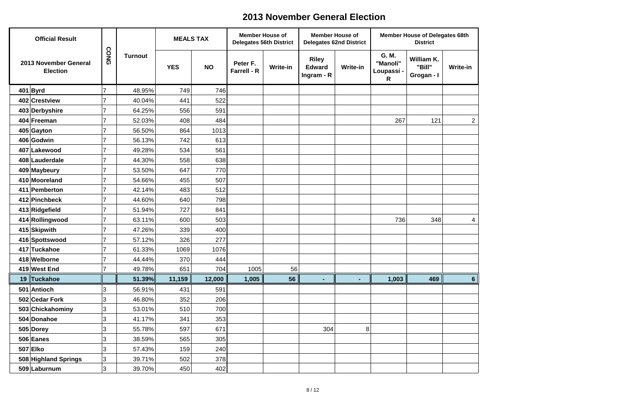| <b>Official Result</b>                   |      |                | <b>MEALS TAX</b> |           | <b>Member House of</b><br><b>Delegates 56th District</b> |                 | <b>Member House of</b><br><b>Delegates 62nd District</b> |                 |                                      | <b>Member House of Delegates 68th</b><br><b>District</b> |                 |
|------------------------------------------|------|----------------|------------------|-----------|----------------------------------------------------------|-----------------|----------------------------------------------------------|-----------------|--------------------------------------|----------------------------------------------------------|-----------------|
| 2013 November General<br><b>Election</b> | CONG | <b>Turnout</b> | <b>YES</b>       | <b>NO</b> | Peter F.<br><b>Farrell - R</b>                           | <b>Write-in</b> | <b>Riley</b><br><b>Edward</b><br>Ingram - R              | <b>Write-in</b> | G. M.<br>"Manoli"<br>Loupassi -<br>R | William K.<br>"Bill"<br>Grogan - I                       | <b>Write-in</b> |
| $401$ Byrd                               | 7    | 48.95%         | 749              | 746       |                                                          |                 |                                                          |                 |                                      |                                                          |                 |
| 402 Crestview                            |      | 40.04%         | 441              | 522       |                                                          |                 |                                                          |                 |                                      |                                                          |                 |
| 403 Derbyshire                           | 7    | 64.25%         | 556              | 591       |                                                          |                 |                                                          |                 |                                      |                                                          |                 |
| 404 Freeman                              |      | 52.03%         | 408              | 484       |                                                          |                 |                                                          |                 | 267                                  | 121                                                      | $\overline{a}$  |
| 405 Gayton                               |      | 56.50%         | 864              | 1013      |                                                          |                 |                                                          |                 |                                      |                                                          |                 |
| 406 Godwin                               |      | 56.13%         | 742              | 613       |                                                          |                 |                                                          |                 |                                      |                                                          |                 |
| 407 Lakewood                             |      | 49.28%         | 534              | 561       |                                                          |                 |                                                          |                 |                                      |                                                          |                 |
| 408 Lauderdale                           |      | 44.30%         | 558              | 638       |                                                          |                 |                                                          |                 |                                      |                                                          |                 |
| 409 Maybeury                             |      | 53.50%         | 647              | 770       |                                                          |                 |                                                          |                 |                                      |                                                          |                 |
| 410 Mooreland                            |      | 54.66%         | 455              | 507       |                                                          |                 |                                                          |                 |                                      |                                                          |                 |
| 411 Pemberton                            |      | 42.14%         | 483              | 512       |                                                          |                 |                                                          |                 |                                      |                                                          |                 |
| 412 Pinchbeck                            |      | 44.60%         | 640              | 798       |                                                          |                 |                                                          |                 |                                      |                                                          |                 |
| 413 Ridgefield                           |      | 51.94%         | 727              | 841       |                                                          |                 |                                                          |                 |                                      |                                                          |                 |
| 414 Rollingwood                          |      | 63.11%         | 600              | 503       |                                                          |                 |                                                          |                 | 736                                  | 348                                                      | 4               |
| 415 Skipwith                             |      | 47.26%         | 339              | 400       |                                                          |                 |                                                          |                 |                                      |                                                          |                 |
| 416 Spottswood                           | 7    | 57.12%         | 326              | 277       |                                                          |                 |                                                          |                 |                                      |                                                          |                 |
| 417 Tuckahoe                             |      | 61.33%         | 1069             | 1076      |                                                          |                 |                                                          |                 |                                      |                                                          |                 |
| 418 Welborne                             |      | 44.44%         | 370              | 444       |                                                          |                 |                                                          |                 |                                      |                                                          |                 |
| 419 West End                             |      | 49.78%         | 651              | 704       | 1005                                                     | 56              |                                                          |                 |                                      |                                                          |                 |
| 19 Tuckahoe                              |      | 51.39%         | 11,159           | 12,000    | 1,005                                                    | 56              | $\blacksquare$                                           | $\blacksquare$  | 1,003                                | 469                                                      | 6               |
| 501 Antioch                              | 3    | 56.91%         | 431              | 591       |                                                          |                 |                                                          |                 |                                      |                                                          |                 |
| 502 Cedar Fork                           | 3    | 46.80%         | 352              | 206       |                                                          |                 |                                                          |                 |                                      |                                                          |                 |
| 503 Chickahominy                         | 3    | 53.01%         | 510              | 700       |                                                          |                 |                                                          |                 |                                      |                                                          |                 |
| 504 Donahoe                              | 3    | 41.17%         | 341              | 353       |                                                          |                 |                                                          |                 |                                      |                                                          |                 |
| 505 Dorey                                | 3    | 55.78%         | 597              | 671       |                                                          |                 | 304                                                      | 8               |                                      |                                                          |                 |
| $506$ Eanes                              | 3    | 38.59%         | 565              | 305       |                                                          |                 |                                                          |                 |                                      |                                                          |                 |
| 507 Elko                                 | 3    | 57.43%         | 159              | 240       |                                                          |                 |                                                          |                 |                                      |                                                          |                 |
| 508 Highland Springs                     | 3    | 39.71%         | 502              | 378       |                                                          |                 |                                                          |                 |                                      |                                                          |                 |
| 509 Laburnum                             | 3    | 39.70%         | 450              | 402       |                                                          |                 |                                                          |                 |                                      |                                                          |                 |

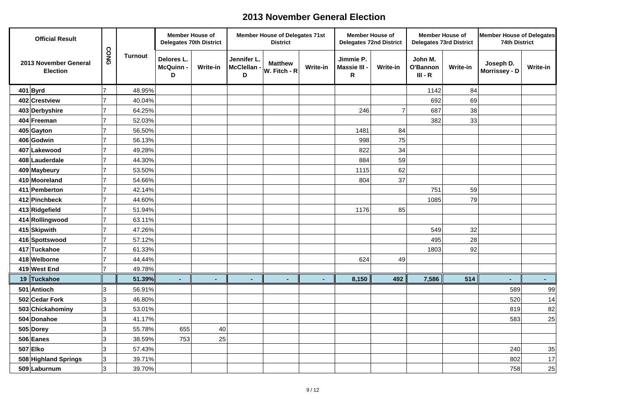| <b>Official Result</b>                   |             |                | <b>Member House of</b><br><b>Delegates 70th District</b> |                 |                                 | <b>Member House of Delegates 71st</b><br><b>District</b> |                 | <b>Member House of</b><br><b>Delegates 72nd District</b> |                 | <b>Member House of</b>           | <b>Delegates 73rd District</b> | Member House of Delegates<br><b>74th District</b> |                 |
|------------------------------------------|-------------|----------------|----------------------------------------------------------|-----------------|---------------------------------|----------------------------------------------------------|-----------------|----------------------------------------------------------|-----------------|----------------------------------|--------------------------------|---------------------------------------------------|-----------------|
| 2013 November General<br><b>Election</b> | <b>CONG</b> | <b>Turnout</b> | Delores L.<br><b>McQuinn-</b><br>D                       | <b>Write-in</b> | Jennifer L.<br>McClellan -<br>D | <b>Matthew</b><br>$W.$ Fitch - R                         | <b>Write-in</b> | Jimmie P.<br>Massie III -<br>R                           | <b>Write-in</b> | John M.<br>O'Bannon<br>$III - R$ | <b>Write-in</b>                | Joseph D.<br>Morrissey - D                        | <b>Write-in</b> |
| $401$ Byrd                               |             | 48.95%         |                                                          |                 |                                 |                                                          |                 |                                                          |                 | 1142                             | 84                             |                                                   |                 |
| 402 Crestview                            |             | 40.04%         |                                                          |                 |                                 |                                                          |                 |                                                          |                 | 692                              | 69                             |                                                   |                 |
| 403 Derbyshire                           |             | 64.25%         |                                                          |                 |                                 |                                                          |                 | 246                                                      |                 | 687                              | 38                             |                                                   |                 |
| 404 Freeman                              |             | 52.03%         |                                                          |                 |                                 |                                                          |                 |                                                          |                 | 382                              | 33                             |                                                   |                 |
| 405 Gayton                               |             | 56.50%         |                                                          |                 |                                 |                                                          |                 | 1481                                                     | 84              |                                  |                                |                                                   |                 |
| 406 Godwin                               |             | 56.13%         |                                                          |                 |                                 |                                                          |                 | 998                                                      | 75              |                                  |                                |                                                   |                 |
| 407 Lakewood                             |             | 49.28%         |                                                          |                 |                                 |                                                          |                 | 822                                                      | 34              |                                  |                                |                                                   |                 |
| 408 Lauderdale                           |             | 44.30%         |                                                          |                 |                                 |                                                          |                 | 884                                                      | 59              |                                  |                                |                                                   |                 |
| 409 Maybeury                             |             | 53.50%         |                                                          |                 |                                 |                                                          |                 | 1115                                                     | 62              |                                  |                                |                                                   |                 |
| 410 Mooreland                            |             | 54.66%         |                                                          |                 |                                 |                                                          |                 | 804                                                      | 37              |                                  |                                |                                                   |                 |
| 411 Pemberton                            |             | 42.14%         |                                                          |                 |                                 |                                                          |                 |                                                          |                 | 751                              | 59                             |                                                   |                 |
| 412 Pinchbeck                            |             | 44.60%         |                                                          |                 |                                 |                                                          |                 |                                                          |                 | 1085                             | 79                             |                                                   |                 |
| 413 Ridgefield                           |             | 51.94%         |                                                          |                 |                                 |                                                          |                 | 1176                                                     | 85              |                                  |                                |                                                   |                 |
| 414 Rollingwood                          |             | 63.11%         |                                                          |                 |                                 |                                                          |                 |                                                          |                 |                                  |                                |                                                   |                 |
| 415 Skipwith                             |             | 47.26%         |                                                          |                 |                                 |                                                          |                 |                                                          |                 | 549                              | 32                             |                                                   |                 |
| 416 Spottswood                           |             | 57.12%         |                                                          |                 |                                 |                                                          |                 |                                                          |                 | 495                              | 28                             |                                                   |                 |
| 417 Tuckahoe                             |             | 61.33%         |                                                          |                 |                                 |                                                          |                 |                                                          |                 | 1803                             | 92                             |                                                   |                 |
| 418 Welborne                             |             | 44.44%         |                                                          |                 |                                 |                                                          |                 | 624                                                      | 49              |                                  |                                |                                                   |                 |
| 419 West End                             |             | 49.78%         |                                                          |                 |                                 |                                                          |                 |                                                          |                 |                                  |                                |                                                   |                 |
| 19 Tuckahoe                              |             | 51.39%         |                                                          | $\blacksquare$  |                                 | ۰.                                                       | $\sim$          | 8,150                                                    | 492             | 7,586                            | 514                            |                                                   | $\sim$          |
| 501 Antioch                              | 3           | 56.91%         |                                                          |                 |                                 |                                                          |                 |                                                          |                 |                                  |                                | 589                                               | 99              |
| 502 Cedar Fork                           | 3           | 46.80%         |                                                          |                 |                                 |                                                          |                 |                                                          |                 |                                  |                                | 520                                               | 14              |
| 503 Chickahominy                         | 3           | 53.01%         |                                                          |                 |                                 |                                                          |                 |                                                          |                 |                                  |                                | 819                                               | 82              |
| 504 Donahoe                              | 3           | 41.17%         |                                                          |                 |                                 |                                                          |                 |                                                          |                 |                                  |                                | 583                                               | 25              |
| 505 Dorey                                | 3           | 55.78%         | 655                                                      | 40              |                                 |                                                          |                 |                                                          |                 |                                  |                                |                                                   |                 |
| $506$ Eanes                              | 3           | 38.59%         | 753                                                      | 25              |                                 |                                                          |                 |                                                          |                 |                                  |                                |                                                   |                 |
| 507 Elko                                 | 3           | 57.43%         |                                                          |                 |                                 |                                                          |                 |                                                          |                 |                                  |                                | 240                                               | 35              |
| 508 Highland Springs                     | 3           | 39.71%         |                                                          |                 |                                 |                                                          |                 |                                                          |                 |                                  |                                | 802                                               | 17              |
| 509 Laburnum                             | 3           | 39.70%         |                                                          |                 |                                 |                                                          |                 |                                                          |                 |                                  |                                | 758                                               | <b>25</b>       |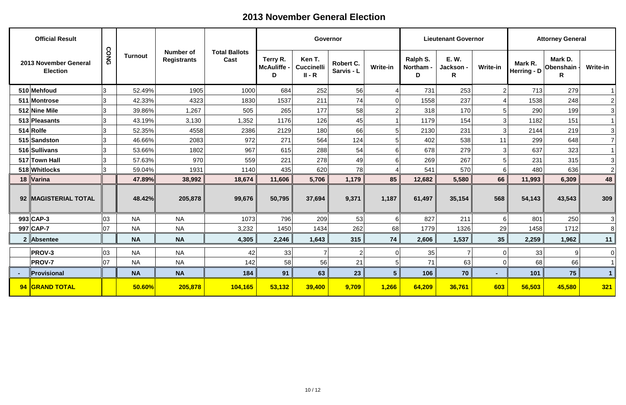| <b>Official Result</b>                   |      |                |                                        |                              |                                     | Governor                                |                         |                 |                            | <b>Lieutenant Governor</b>    |                 |                          | <b>Attorney General</b>   |                |
|------------------------------------------|------|----------------|----------------------------------------|------------------------------|-------------------------------------|-----------------------------------------|-------------------------|-----------------|----------------------------|-------------------------------|-----------------|--------------------------|---------------------------|----------------|
| 2013 November General<br><b>Election</b> | CONG | <b>Turnout</b> | <b>Number of</b><br><b>Registrants</b> | <b>Total Ballots</b><br>Cast | Terry R.<br><b>McAuliffe -</b><br>D | Ken T.<br><b>Cuccinelli</b><br>$II - R$ | Robert C.<br>Sarvis - L | <b>Write-in</b> | Ralph S.<br>Northam -<br>D | <b>E.W.</b><br>Jackson -<br>R | <b>Write-in</b> | Mark R.<br>Herring - $D$ | Mark D.<br>Obenshain<br>R | Write-in       |
| 510 Mehfoud                              | Ι3   | 52.49%         | 1905                                   | 1000                         | 684                                 | 252                                     | 56                      |                 | 731                        | 253                           | 2               | 713                      | 279                       |                |
| 511 Montrose                             | 3    | 42.33%         | 4323                                   | 1830                         | 1537                                | 211                                     | 74                      |                 | 1558                       | 237                           |                 | 1538                     | 248                       | $\mathbf{2}$   |
| 512 Nine Mile                            | 3    | 39.86%         | 1,267                                  | 505                          | 265                                 | 177                                     | 58                      |                 | 318                        | 170                           | 5               | 290                      | 199                       | 3              |
| 513 Pleasants                            | 3    | 43.19%         | 3,130                                  | 1,352                        | 1176                                | 126                                     | 45                      |                 | 1179                       | 154                           | 3               | 1182                     | 151                       |                |
| $514 R$ olfe                             | 3    | 52.35%         | 4558                                   | 2386                         | 2129                                | 180                                     | 66                      |                 | 2130                       | 231                           | 3               | 2144                     | 219                       | 3              |
| 515 Sandston                             | 3    | 46.66%         | 2083                                   | 972                          | 271                                 | 564                                     | 124                     |                 | 402                        | 538                           | 11              | 299                      | 648                       | $\overline{7}$ |
| 516 Sullivans                            | 3    | 53.66%         | 1802                                   | 967                          | 615                                 | 288                                     | 54                      | 6               | 678                        | 279                           | 3               | 637                      | 323                       |                |
| 517 Town Hall                            | 3    | 57.63%         | 970                                    | 559                          | 221                                 | 278                                     | 49                      | 6               | 269                        | 267                           | 5               | 231                      | 315                       | 3 <sup>1</sup> |
| 518 Whitlocks                            | 3    | 59.04%         | 1931                                   | 1140                         | 435                                 | 620                                     | 78                      |                 | 541                        | 570                           | $6 \mid$        | 480                      | 636                       | $\vert$ 2      |
| 18 Varina                                |      | 47.89%         | 38,992                                 | 18,674                       | 11,606                              | 5,706                                   | 1,179                   | 85              | 12,682                     | 5,580                         | 66              | 11,993                   | 6,309                     | 48             |
| 92 MAGISTERIAL TOTAL                     |      | 48.42%         | 205,878                                | 99,676                       | 50,795                              | 37,694                                  | 9,371                   | 1,187           | 61,497                     | 35,154                        | 568             | 54,143                   | 43,543                    | 309            |
| 993 CAP-3                                | 03   | <b>NA</b>      | <b>NA</b>                              | 1073                         | 796                                 | 209                                     | 53                      | 6               | 827                        | 211                           | $6 \mid$        | 801                      | 250                       | 3 <sup>1</sup> |
| 997 CAP-7                                | 07   | <b>NA</b>      | <b>NA</b>                              | 3,232                        | 1450                                | 1434                                    | 262                     | 68              | 1779                       | 1326                          | 29              | 1458                     | 1712                      | 8              |
| $2$   Absentee                           |      | <b>NA</b>      | <b>NA</b>                              | 4,305                        | 2,246                               | 1,643                                   | 315                     | 74              | 2,606                      | 1,537                         | 35              | 2,259                    | 1,962                     | 11             |
| <b>PROV-3</b>                            | 03   | <b>NA</b>      | <b>NA</b>                              | 42                           | 33                                  |                                         |                         |                 | 35                         | 7                             | $\overline{0}$  | 33                       | 9                         | 0              |
| <b>PROV-7</b>                            | 07   | <b>NA</b>      | <b>NA</b>                              | 142                          | 58                                  | 56                                      | 21                      | 5 <sub>5</sub>  | 71                         | 63                            | $\overline{0}$  | 68                       | 66                        | $\vert$ 1      |
| <b>Provisional</b>                       |      | <b>NA</b>      | <b>NA</b>                              | 184                          | 91                                  | 63                                      | 23                      | 5 <sub>1</sub>  | 106                        | 70                            | $\sim$          | 101                      | 75                        | 1              |
| 94 GRAND TOTAL                           |      | 50.60%         | 205,878                                | 104,165                      | 53,132                              | 39,400                                  | 9,709                   | 1,266           | 64,209                     | 36,761                        | 603             | 56,503                   | 45,580                    | 321            |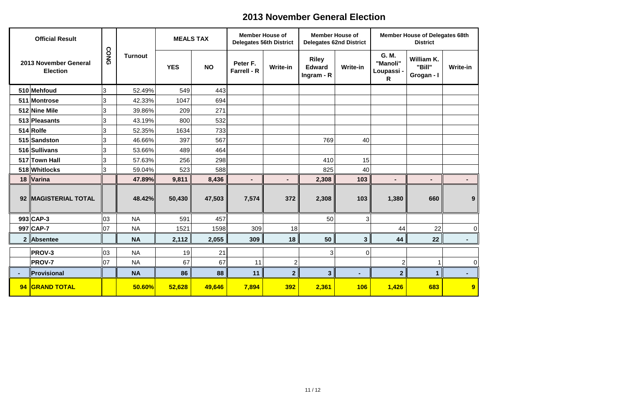|                | <b>Official Result</b>                   |      |                | <b>MEALS TAX</b> |           | <b>Member House of</b>         | <b>Delegates 56th District</b> |                                             | <b>Member House of</b><br><b>Delegates 62nd District</b> |                                      | <b>Member House of Delegates 68th</b><br><b>District</b> |                |
|----------------|------------------------------------------|------|----------------|------------------|-----------|--------------------------------|--------------------------------|---------------------------------------------|----------------------------------------------------------|--------------------------------------|----------------------------------------------------------|----------------|
|                | 2013 November General<br><b>Election</b> | CONG | <b>Turnout</b> | <b>YES</b>       | <b>NO</b> | Peter F.<br><b>Farrell - R</b> | <b>Write-in</b>                | <b>Riley</b><br><b>Edward</b><br>Ingram - R | <b>Write-in</b>                                          | G. M.<br>"Manoli"<br>Loupassi -<br>R | William K.<br>"Bill"<br>Grogan - I                       | Write-in       |
|                | 510 Mehfoud                              | 3    | 52.49%         | 549              | 443       |                                |                                |                                             |                                                          |                                      |                                                          |                |
|                | 511 Montrose                             | 3    | 42.33%         | 1047             | 694       |                                |                                |                                             |                                                          |                                      |                                                          |                |
|                | 512 Nine Mile                            | 3    | 39.86%         | 209              | 271       |                                |                                |                                             |                                                          |                                      |                                                          |                |
|                | 513 Pleasants                            | 3    | 43.19%         | 800              | 532       |                                |                                |                                             |                                                          |                                      |                                                          |                |
|                | 514 Rolfe                                | 3    | 52.35%         | 1634             | 733       |                                |                                |                                             |                                                          |                                      |                                                          |                |
|                | 515 Sandston                             | 3    | 46.66%         | 397              | 567       |                                |                                | 769                                         | 40                                                       |                                      |                                                          |                |
|                | 516 Sullivans                            | 3    | 53.66%         | 489              | 464       |                                |                                |                                             |                                                          |                                      |                                                          |                |
|                | 517 Town Hall                            | 3    | 57.63%         | 256              | 298       |                                |                                | 410                                         | 15                                                       |                                      |                                                          |                |
|                | 518 Whitlocks                            | 3    | 59.04%         | 523              | 588       |                                |                                | 825                                         | 40                                                       |                                      |                                                          |                |
|                | 18 Varina                                |      | 47.89%         | 9,811            | 8,436     | $\blacksquare$                 | $\blacksquare$                 | 2,308                                       | 103                                                      | $\blacksquare$                       | $\blacksquare$                                           | $\blacksquare$ |
| 92             | <b>MAGISTERIAL TOTAL</b>                 |      | 48.42%         | 50,430           | 47,503    | 7,574                          | 372                            | 2,308                                       | 103                                                      | 1,380                                | 660                                                      | 9              |
|                | 993 CAP-3                                | 03   | <b>NA</b>      | 591              | 457       |                                |                                | 50                                          | 3                                                        |                                      |                                                          |                |
|                | 997 CAP-7                                | 07   | <b>NA</b>      | 1521             | 1598      | 309                            | 18                             |                                             |                                                          | 44                                   | 22                                                       | $\overline{0}$ |
|                | 2 Absentee                               |      | <b>NA</b>      | 2,112            | 2,055     | 309                            | 18                             | 50                                          | 3 <sup>1</sup>                                           | 44                                   | 22                                                       |                |
|                | <b>PROV-3</b>                            | 03   | <b>NA</b>      | 19               | 21        |                                |                                | 3                                           | $\overline{0}$                                           |                                      |                                                          |                |
|                | <b>PROV-7</b>                            | 07   | <b>NA</b>      | 67               | 67        | 11                             | $\overline{2}$                 |                                             |                                                          | $\overline{2}$                       | 1                                                        | $\overline{0}$ |
| $\blacksquare$ | Provisional                              |      | <b>NA</b>      | 86               | 88        | 11                             | $\overline{2}$                 | $\mathbf{3}$                                | $\blacksquare$                                           | $\overline{2}$                       | $\mathbf 1$                                              |                |
|                | 94 GRAND TOTAL                           |      | 50.60%         | 52,628           | 49,646    | 7,894                          | <b>392</b>                     | 2,361                                       | <b>106</b>                                               | 1,426                                | 683                                                      | 9              |